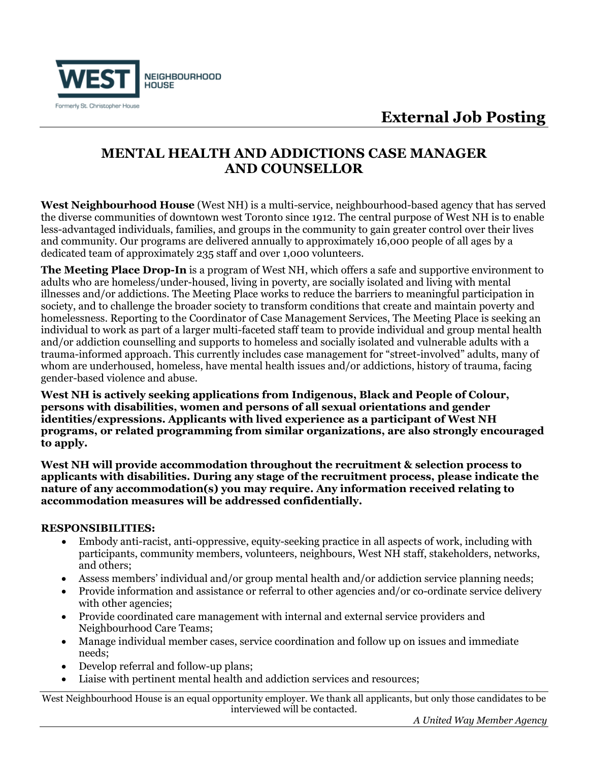

## **External Job Posting**

## **MENTAL HEALTH AND ADDICTIONS CASE MANAGER AND COUNSELLOR**

**West Neighbourhood House** (West NH) is a multi-service, neighbourhood-based agency that has served the diverse communities of downtown west Toronto since 1912. The central purpose of West NH is to enable less-advantaged individuals, families, and groups in the community to gain greater control over their lives and community. Our programs are delivered annually to approximately 16,000 people of all ages by a dedicated team of approximately 235 staff and over 1,000 volunteers.

**The Meeting Place Drop-In** is a program of West NH, which offers a safe and supportive environment to adults who are homeless/under-housed, living in poverty, are socially isolated and living with mental illnesses and/or addictions. The Meeting Place works to reduce the barriers to meaningful participation in society, and to challenge the broader society to transform conditions that create and maintain poverty and homelessness. Reporting to the Coordinator of Case Management Services, The Meeting Place is seeking an individual to work as part of a larger multi-faceted staff team to provide individual and group mental health and/or addiction counselling and supports to homeless and socially isolated and vulnerable adults with a trauma-informed approach. This currently includes case management for "street-involved" adults, many of whom are underhoused, homeless, have mental health issues and/or addictions, history of trauma, facing gender-based violence and abuse.

**West NH is actively seeking applications from Indigenous, Black and People of Colour, persons with disabilities, women and persons of all sexual orientations and gender identities/expressions. Applicants with lived experience as a participant of West NH programs, or related programming from similar organizations, are also strongly encouraged to apply.** 

**West NH will provide accommodation throughout the recruitment & selection process to applicants with disabilities. During any stage of the recruitment process, please indicate the nature of any accommodation(s) you may require. Any information received relating to accommodation measures will be addressed confidentially.**

### **RESPONSIBILITIES:**

- Embody anti-racist, anti-oppressive, equity-seeking practice in all aspects of work, including with participants, community members, volunteers, neighbours, West NH staff, stakeholders, networks, and others;
- Assess members' individual and/or group mental health and/or addiction service planning needs;
- Provide information and assistance or referral to other agencies and/or co-ordinate service delivery with other agencies;
- Provide coordinated care management with internal and external service providers and Neighbourhood Care Teams;
- Manage individual member cases, service coordination and follow up on issues and immediate needs;
- Develop referral and follow-up plans;
- Liaise with pertinent mental health and addiction services and resources;

West Neighbourhood House is an equal opportunity employer. We thank all applicants, but only those candidates to be interviewed will be contacted.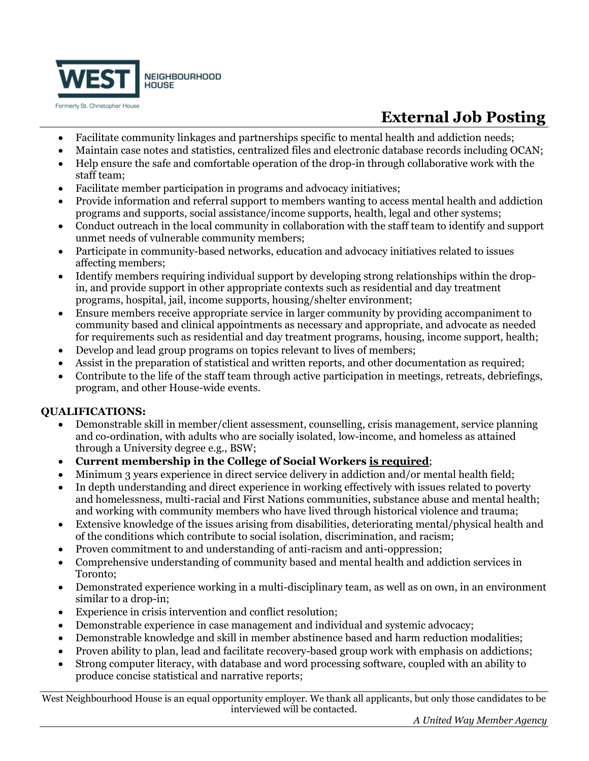

# **External Job Posting**

- Facilitate community linkages and partnerships specific to mental health and addiction needs;
- Maintain case notes and statistics, centralized files and electronic database records including OCAN;
- Help ensure the safe and comfortable operation of the drop-in through collaborative work with the staff team;
- Facilitate member participation in programs and advocacy initiatives;
- Provide information and referral support to members wanting to access mental health and addiction programs and supports, social assistance/income supports, health, legal and other systems;
- Conduct outreach in the local community in collaboration with the staff team to identify and support unmet needs of vulnerable community members;
- Participate in community-based networks, education and advocacy initiatives related to issues affecting members;
- Identify members requiring individual support by developing strong relationships within the dropin, and provide support in other appropriate contexts such as residential and day treatment programs, hospital, jail, income supports, housing/shelter environment;
- Ensure members receive appropriate service in larger community by providing accompaniment to community based and clinical appointments as necessary and appropriate, and advocate as needed for requirements such as residential and day treatment programs, housing, income support, health;
- Develop and lead group programs on topics relevant to lives of members;
- Assist in the preparation of statistical and written reports, and other documentation as required;
- Contribute to the life of the staff team through active participation in meetings, retreats, debriefings, program, and other House-wide events.

### **QUALIFICATIONS:**

- Demonstrable skill in member/client assessment, counselling, crisis management, service planning and co-ordination, with adults who are socially isolated, low-income, and homeless as attained through a University degree e.g., BSW;
- **Current membership in the College of Social Workers is required**;
- Minimum 3 years experience in direct service delivery in addiction and/or mental health field;
- In depth understanding and direct experience in working effectively with issues related to poverty and homelessness, multi-racial and First Nations communities, substance abuse and mental health; and working with community members who have lived through historical violence and trauma;
- Extensive knowledge of the issues arising from disabilities, deteriorating mental/physical health and of the conditions which contribute to social isolation, discrimination, and racism;
- Proven commitment to and understanding of anti-racism and anti-oppression;
- Comprehensive understanding of community based and mental health and addiction services in Toronto;
- Demonstrated experience working in a multi-disciplinary team, as well as on own, in an environment similar to a drop-in;
- Experience in crisis intervention and conflict resolution;
- Demonstrable experience in case management and individual and systemic advocacy;
- Demonstrable knowledge and skill in member abstinence based and harm reduction modalities;
- Proven ability to plan, lead and facilitate recovery-based group work with emphasis on addictions;
- Strong computer literacy, with database and word processing software, coupled with an ability to produce concise statistical and narrative reports;

West Neighbourhood House is an equal opportunity employer. We thank all applicants, but only those candidates to be interviewed will be contacted.